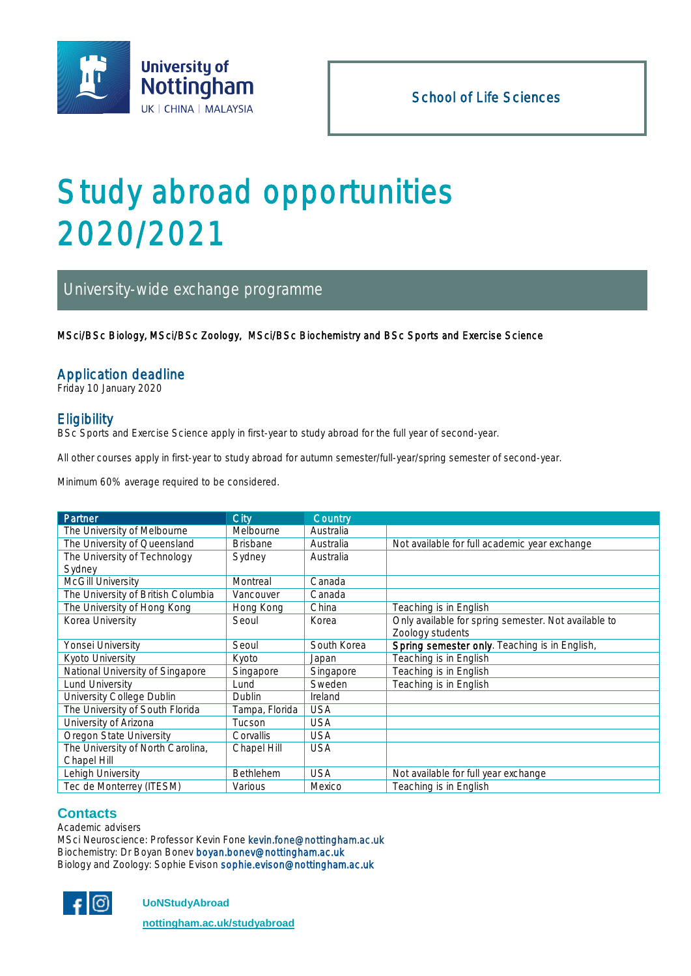

# Study abroad opportunities 2020/2021

# University-wide exchange programme

MSci/BSc Biology, MSci/BSc Zoology, MSci/BSc Biochemistry and BSc Sports and Exercise Science

### Application deadline

Friday 10 January 2020

# **Eligibility**

BSc Sports and Exercise Science apply in first-year to study abroad for the full year of second-year.

All other courses apply in first-year to study abroad for autumn semester/full-year/spring semester of second-year.

Minimum 60% average required to be considered.

| Partner                            | City             | Country     |                                                      |  |
|------------------------------------|------------------|-------------|------------------------------------------------------|--|
| The University of Melbourne        | Melbourne        | Australia   |                                                      |  |
| The University of Queensland       | <b>Brisbane</b>  | Australia   | Not available for full academic year exchange        |  |
| The University of Technology       | Sydney           | Australia   |                                                      |  |
| Sydney                             |                  |             |                                                      |  |
| <b>McGill University</b>           | Montreal         | Canada      |                                                      |  |
| The University of British Columbia | Vancouver        | Canada      |                                                      |  |
| The University of Hong Kong        | Hong Kong        | China       | Teaching is in English                               |  |
| Korea University                   | Seoul            | Korea       | Only available for spring semester. Not available to |  |
|                                    |                  |             | Zoology students                                     |  |
| Yonsei University                  | Seoul            | South Korea | Spring semester only. Teaching is in English,        |  |
| Kyoto University                   | Kyoto            | Japan       | Teaching is in English                               |  |
| National University of Singapore   | Singapore        | Singapore   | Teaching is in English                               |  |
| Lund University                    | Lund             | Sweden      | Teaching is in English                               |  |
| University College Dublin          | Dublin           | Ireland     |                                                      |  |
| The University of South Florida    | Tampa, Florida   | <b>USA</b>  |                                                      |  |
| University of Arizona              | Tucson           | <b>USA</b>  |                                                      |  |
| Oregon State University            | Corvallis        | <b>USA</b>  |                                                      |  |
| The University of North Carolina,  | Chapel Hill      | <b>USA</b>  |                                                      |  |
| Chapel Hill                        |                  |             |                                                      |  |
| Lehigh University                  | <b>Bethlehem</b> | <b>USA</b>  | Not available for full year exchange                 |  |
| Tec de Monterrey (ITESM)           | Various          | Mexico      | Teaching is in English                               |  |

#### **Contacts**

Academic advisers MSci Neuroscience: Professor Kevin Fone [kevin.fone@nottingham.ac.uk](mailto:kevin.fone@nottingham.ac.uk) Biochemistry: Dr Boyan Bonev [boyan.bonev@nottingham.ac.uk](mailto:boyan.bonev@nottingham.ac.uk) Biology and Zoology: Sophie Evison sophie.evison@nottingham.ac.uk



 **UoNStudyAbroad**

 **[nottingham.ac.uk/studyabroad](http://www.nottingham.ac.uk/studyabroad)**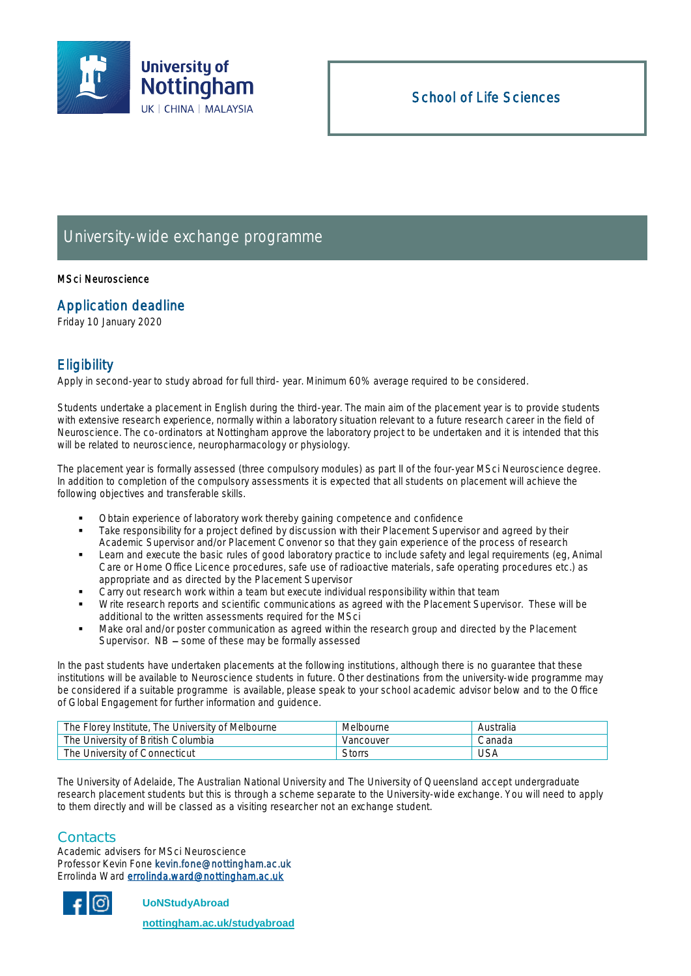

# University-wide exchange programme

#### MSci Neuroscience

#### Application deadline

Friday 10 January 2020

# **Eligibility**

Apply in second-year to study abroad for full third- year. Minimum 60% average required to be considered.

Students undertake a placement in English during the third-year. The main aim of the placement year is to provide students with extensive research experience, normally within a laboratory situation relevant to a future research career in the field of Neuroscience. The co-ordinators at Nottingham approve the laboratory project to be undertaken and it is intended that this will be related to neuroscience, neuropharmacology or physiology.

The placement year is formally assessed (three compulsory modules) as part II of the four-year MSci Neuroscience degree. In addition to completion of the compulsory assessments it is expected that all students on placement will achieve the following objectives and transferable skills.

- Obtain experience of laboratory work thereby gaining competence and confidence
- Take responsibility for a project defined by discussion with their Placement Supervisor and agreed by their Academic Supervisor and/or Placement Convenor so that they gain experience of the process of research
- Learn and execute the basic rules of good laboratory practice to include safety and legal requirements (eg, Animal Care or Home Office Licence procedures, safe use of radioactive materials, safe operating procedures etc.) as appropriate and as directed by the Placement Supervisor
- Carry out research work within a team but execute individual responsibility within that team
- Write research reports and scientific communications as agreed with the Placement Supervisor. These will be additional to the written assessments required for the MSci
- Make oral and/or poster communication as agreed within the research group and directed by the Placement Supervisor.  $NB -$  some of these may be formally assessed

In the past students have undertaken placements at the following institutions, although there is no guarantee that these institutions will be available to Neuroscience students in future. Other destinations from the university-wide programme may be considered if a suitable programme is available, please speak to your school academic advisor below and to the Office of Global Engagement for further information and guidence.

| The Florey Institute, The University of Melbourne | Melbourne | Australia |
|---------------------------------------------------|-----------|-----------|
| The University of British Columbia                | Vancouver | ∴anada    |
| The University of Connecticut                     | Storrs    | USA       |

The University of Adelaide, The Australian National University and The University of Queensland accept undergraduate research placement students but this is through a scheme separate to the University-wide exchange. You will need to apply to them directly and will be classed as a visiting researcher not an exchange student.

#### **Contacts**

Academic advisers for MSci Neuroscience Professor Kevin Fone kevin.fone@nottingham.ac.uk Errolinda Ward [errolinda.ward@nottingham.ac.uk](mailto:errolinda.ward@nottingham.ac.uk) 



 **UoNStudyAbroad**

 **[nottingham.ac.uk/studyabroad](http://www.nottingham.ac.uk/studyabroad)**